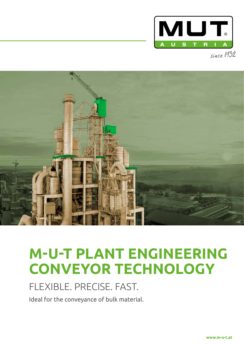

since 1932



# **M-U-T PLANT ENGINEERING CONVEYOR TECHNOLOGY**

## FLEXIBLE. PRECISE. FAST.

Ideal for the conveyance of bulk material.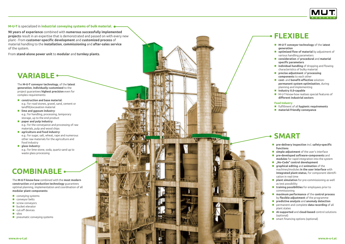### **M-U-T** is specialized in **industrial conveying systems of bulk material**.

**90 years of experience** combined with **numerous successfully implemented projects** result in an expertise that is demonstrated and passed on with every new plant - from **customer-specific development** and **customized process** of material handling to the **installation**, **commissioning** and **after-sales service** of the system.

From **stand-alone power unit** to **modular** and **turnkey plants** .

The **M-U-T conveyor technology**, of the **latest generation**, **individually customized** to the project guarantees **highest precision** even for complex requirements:

- **construction and base material** : e.g.: for road stones, gravel, sand, cement or landfill/excavation material
- lime and gypsum industry: e.g.: for handling, processing, temporary storage, up to the end product
- **paper and pulp industry** : e.g.: for the conveyance and processing of raw materials, pulp and wood chips
- **agriculture and food industry** : e.g.: for sugar, salt, wheat, rape and numerous other raw materials for the agriculture and food industry
- **pre-delivery inspection** incl. **safety-specific functions**
- **simple adjustment** of the user's interface
- **pre-developed software-components** and **modules** for rapid integration into the system
- "No-Code" control development
- **graphical editing** and **animation** of the machines/modules **in the user interface** with **integrated plant-status**, for component identifi cation in real time
- **plant simulation** for pre-commissioning as well as test possibility
- **training possibilities** for employees prior to commissioning
- **maximum performance** of the **control process**  by **flexible adjustment** of the programme
- **predictive analysis** and **anomaly detection**
- permanent and complete **data recording** of all plant states
- **AI-supported** and **cloud-based** control solutions (optional)
- **E** smart financing options (optional)

 **glass industry** : e.g.: for lime stone, soda, quartz sand up to waste glass processing

The **M-U-T-know-how** combined with the **most modern construction** and **production technology** guarantees optimal planning, implementation and coordination of all **modular plant components** :

- **Conveying systems**
- **CONVEYOR belts**
- screw conveyors
- **bucket elevator**
- **ullet** cut-off devices
- silos
- $\blacksquare$  pneumatic conveving systems



- **M-U-T conveyor technology** of the l**atest generation**
- **optimized flow of material** by adjustment of various handling parameters
- **consideration** of **procedural** and **material specific parameters**
- **individual handling** of dropping and flowing characteristics of bulky material
- **precise adjustment** of **processing components** to each other
- **cost-** and **benefit-effective** solution: **permanent system optimization**, during planning and implementing
- **Industry X.0-capable**
- M-U-T-know-how realises special features of **different industrial sectors**

### **Food Industry**

- fulfillment of all **hygienic requirements**
- **material-friendly conveyance**

# **COMBINABLE**

### **VARIABLE**

### **FLEXIBLE**

### **SMART**